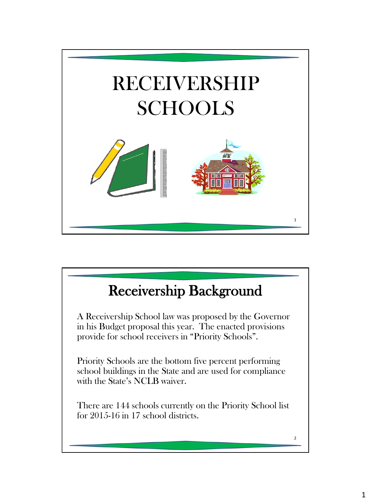

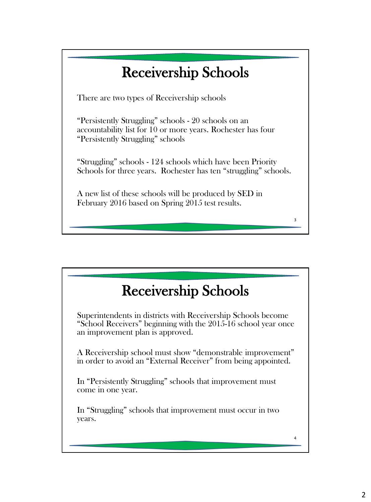## Receivership Schools

There are two types of Receivership schools

"Persistently Struggling" schools - 20 schools on an accountability list for 10 or more years. Rochester has four "Persistently Struggling" schools

"Struggling" schools - 124 schools which have been Priority Schools for three years. Rochester has ten "struggling" schools.

3

4

A new list of these schools will be produced by SED in February 2016 based on Spring 2015 test results.

#### Receivership Schools

Superintendents in districts with Receivership Schools become "School Receivers" beginning with the 2015-16 school year once an improvement plan is approved.

A Receivership school must show "demonstrable improvement" in order to avoid an "External Receiver" from being appointed.

In "Persistently Struggling" schools that improvement must come in one year.

In "Struggling" schools that improvement must occur in two years.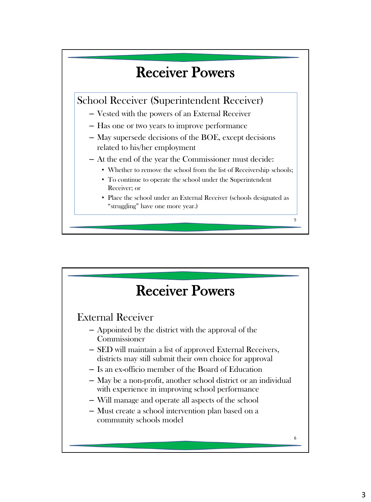

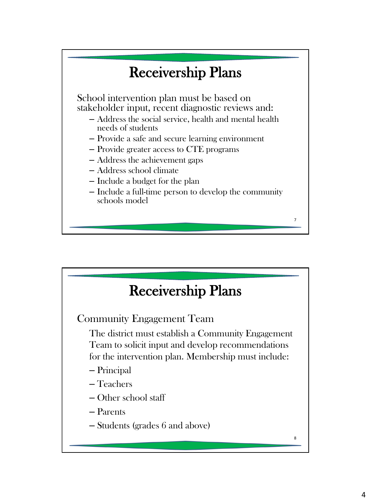

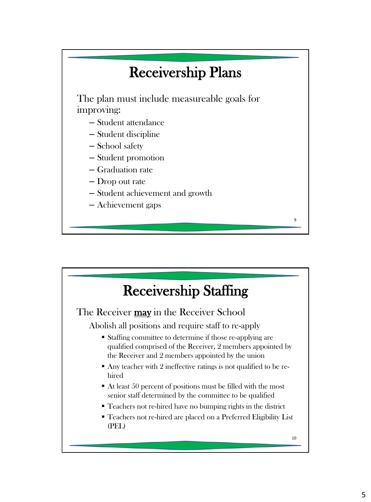### Receivership Plans

The plan must include measureable goals for improving:

- Student attendance
- Student discipline
- School safety
- Student promotion
- Graduation rate
- Drop out rate
- Student achievement and growth
- Achievement gaps

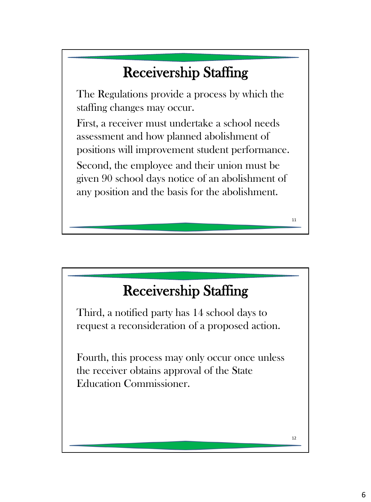# Receivership Staffing

The Regulations provide a process by which the staffing changes may occur.

First, a receiver must undertake a school needs assessment and how planned abolishment of positions will improvement student performance. Second, the employee and their union must be given 90 school days notice of an abolishment of any position and the basis for the abolishment.

### Receivership Staffing

Third, a notified party has 14 school days to request a reconsideration of a proposed action.

Fourth, this process may only occur once unless the receiver obtains approval of the State Education Commissioner.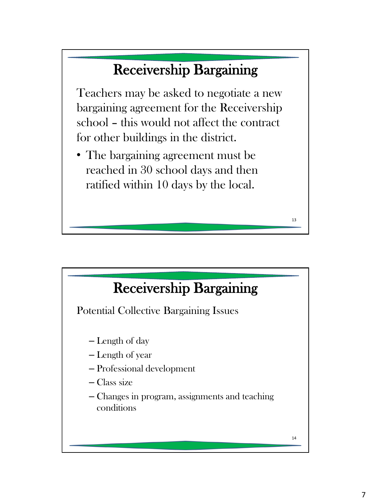### Receivership Bargaining

Teachers may be asked to negotiate a new bargaining agreement for the Receivership school – this would not affect the contract for other buildings in the district.

• The bargaining agreement must be reached in 30 school days and then ratified within 10 days by the local.

### Receivership Bargaining

Potential Collective Bargaining Issues

- Length of day
- Length of year
- Professional development
- Class size
- Changes in program, assignments and teaching conditions